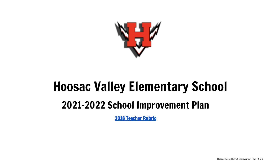

# Hoosac Valley Elementary School

# 2021-2022 School Improvement Plan

2018 [Teacher](https://drive.google.com/file/d/1Jjx-1a794SCm9wVf0gYYWcpCOtPq4YfF/view?usp=sharing) Rubric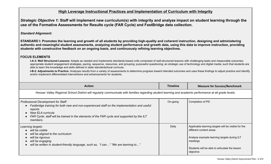# **High Leverage Instructional Practices and Implementation of Curriculum with Integrity**

Strategic Objective 1: Staff will implement new curriculum(s) with integrity and analyze impact on student learning through the **use of the Formative Assessments for Results cycle (FAR Cycle) and FastBridge data collection.**

## *Standard Alignment:*

**STANDARD I: Promotes the learning and growth of all students by providing high-quality and coherent instruction, designing and administering authentic and meaningful student assessments, analyzing student performance and growth data, using this data to improve instruction, providing students with constructive feedback on an ongoing basis, and continuously refining learning objectives.**

## **FOCUS ELEMENTS**

**I-A-3: Well Structured Lessons:** Adapts as needed and implements standards-based units comprised of well-structured lessons with challenging tasks and measurable outcomes; appropriate student engagement strategies, pacing, sequence, resources, and grouping; purposeful questioning; an strategic use of technology and digital media; such that students are able to learn the knowledge and skills defined in state standards/local curricula.

**I-B-2: Adjustments to Practice:** Analyzes results from a variety of assessments to determine progress toward intended outcomes and uses these findings to adjust practice and identify and/or implement differentiated interventions and enhancements for students.

| <b>Action</b>                                                                                                                                                                                                                                                                       | Timeline | <b>Measure for Success/Benchmark</b>                                                                                                                                                                     |  |
|-------------------------------------------------------------------------------------------------------------------------------------------------------------------------------------------------------------------------------------------------------------------------------------|----------|----------------------------------------------------------------------------------------------------------------------------------------------------------------------------------------------------------|--|
| Hoosac Valley Regional School District will regularly communicate with families regarding student learning and academic performance at all grade levels.                                                                                                                            |          |                                                                                                                                                                                                          |  |
| Professional Development for Staff:<br>Fastbridge training for both new and non-experienced staff on the implementation and useful<br>reports<br><b>New ELA curricula</b><br>FAR Cycle: staff will be trained in the elements of the FAR cycle and supported by the ILT<br>members. | On-going | Completion of PD                                                                                                                                                                                         |  |
| Learning targets:<br>will be visible<br>will be aligned to the curriculum<br>will be rigorous<br>will be engaging<br>will be written in student-friendly language, such as, "I can" "We are learning to"                                                                            | Daily    | Applicable learning targets will be visible for the<br>different content areas<br>Analyze example learning targets during ILT<br>meetings<br>Students will be able to articulate the lesson<br>objective |  |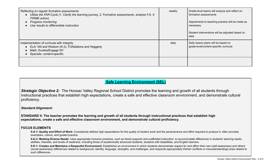| Reflecting on regular formative assessments<br>Utilize the FAR Cycle (1. Clarify the learning journey, 2. Formative assessments, analyze F.A, 4.<br>FIRME action)<br><b>Progress monitoring</b><br>Use results to differentiate instruction | weekly | Grade-level teams will analyze and reflect on<br>formative assessments<br>Adjustments to teaching practice will be made as<br>necessary<br>Student interventions will be adjusted based on<br>data |
|---------------------------------------------------------------------------------------------------------------------------------------------------------------------------------------------------------------------------------------------|--------|----------------------------------------------------------------------------------------------------------------------------------------------------------------------------------------------------|
| Implementation of curricula with integrity<br>ELA: Wit and Wisdom (K-3), FUNdations and Heggerty<br>Math: Eureka/Engage NY<br>Specials: content-specific                                                                                    | daily  | Daily lesson plans will be based on<br>grade-level/content-specific curricula                                                                                                                      |
|                                                                                                                                                                                                                                             |        |                                                                                                                                                                                                    |

# **Safe Learning Environment (SEL)**

*Strategic Objective 2:* The Hoosac Valley Regional School District promotes the learning and growth of all students through instructional practices that establish high expectations, create a safe and effective classroom environment, and demonstrate cultural proficiency.

#### *Standard Alignment:*

**STANDARD II: The teacher promotes the learning and growth of all students through instructional practices that establish high expectations, create a safe and effective classroom environment, and demonstrate cultural proficiency.**

#### **FOCUS ELEMENTS**

**II-A-1: Quality and Effort of Work:** Consistently defines high expectations for the quality of student work and the perseverance and effort required to produce it; often provides exemplars, rubrics, and guided practice.

**II-A-3: Meeting Diverse Needs:** Uses appropriate inclusive practices, such as tiered supports and scaffolded instruction, to accommodate differences in students' learning needs, abilities, interests, and levels of readiness, including those of academically advanced students, students with disabilities, and English learners.

**II-D-1: Creates and Maintains a Respectful Environment:** Establishes an environment in which students demonstrate respect for and affirm their own (self-awareness) and others' (social awareness) differences related to background, identity, language, strengths, and challenges, and responds appropriately if/when conflicts or misunderstandings arise related to such differences.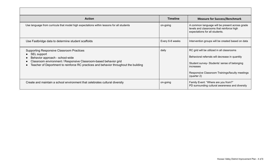| <b>Action</b>                                                                                                                                                                                                                                                  | <b>Timeline</b> | <b>Measure for Success/Benchmark</b>                                                                                                                                                                                        |
|----------------------------------------------------------------------------------------------------------------------------------------------------------------------------------------------------------------------------------------------------------------|-----------------|-----------------------------------------------------------------------------------------------------------------------------------------------------------------------------------------------------------------------------|
| Use language from curricula that model high expectations within lessons for all students                                                                                                                                                                       | on-going        | A common language will be present across grade<br>levels and classrooms that reinforce high<br>expectations for all students.                                                                                               |
| Use Fastbridge data to determine student scaffolds                                                                                                                                                                                                             | Every 6-8 weeks | Intervention groups will be created based on data                                                                                                                                                                           |
| <b>Supporting Responsive Classroom Practices</b><br>SEL support<br>Behavior approach - school-wide<br>Classroom environment / Responsive Classroom-based behavior grid<br>Teacher of Deportment to reinforce RC practices and behavior throughout the building | daily           | RC grid will be utilized in all classrooms<br>Behavioral referrals will decrease in quantity<br>Student survey- Students' sense of belonging<br>increases<br>Responsive Classroom Trainings/faculty meetings<br>(quarter 2) |
| Create and maintain a school environment that celebrates cultural diversity                                                                                                                                                                                    | on-going        | Family Event: "Where are you from?"<br>PD surrounding cultural awareness and diversity                                                                                                                                      |

 $\Gamma$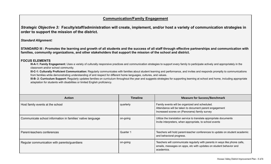# **Communication/Family Engagement**

Strategic Objective 3: Faculty/staff/administration will create, implement, and/or host a variety of communication strategies in **order to support the mission of the district.**

*Standard Alignment:*

**STANDARD III : Promotes the learning and growth of all students and the success of all staff through effective partnerships and communication with families, community organizations, and other stakeholders that support the mission of the school and district.**

#### **FOCUS ELEMENTS**

**III-A-1: Family Engagement:** Uses a variety of culturally responsive practices and communication strategies to support every family to participate actively and appropriately in the classroom and/or school community.

**III-C-1: Culturally Proficient Communication:** Regularly communicates with families about student learning and performance, and invites and responds promptly to communications from families while demonstrating understanding of and respect for different home languages, cultures, and values.

**III-B- 2: Curriculum Support:** Regularly updates families on curriculum throughout the year and suggests strategies for supporting learning at school and home, including appropriate adaptation for students with disabilities or limited English proficiency.

| <b>Action</b>                                               | <b>Timeline</b> | <b>Measure for Success/Benchmark</b>                                                                                                                           |
|-------------------------------------------------------------|-----------------|----------------------------------------------------------------------------------------------------------------------------------------------------------------|
| Host family events at the school                            | quarterly       | Family events will be organized and scheduled.<br>Attendance will be taken to document parent engagement<br>Increased scores on (Panorama) family survey       |
| Communicate school information in families' native language | on-going        | Utilize the translation service to translate appropriate documents<br>Invite interpreters, when appropriate, to school events                                  |
| Parent-teachers conferences                                 | Quarter 1       | Teachers will hold parent-teacher conferences to update on student academic<br>and behavioral progress.                                                        |
| Regular communication with parents/guardians                | on-going        | Teachers will communicate regularly with parents in ways like phone calls,<br>emails, messages on apps, etc with updates on student behavior and<br>academics. |